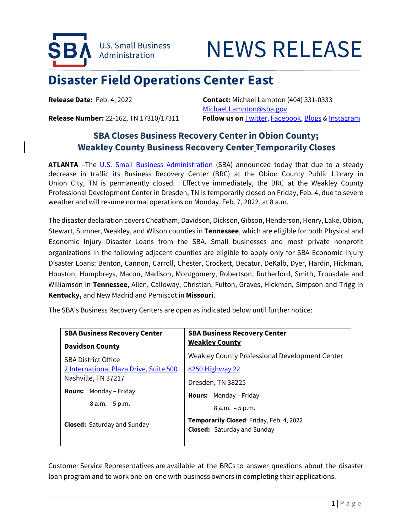

## NEWS RELEASE

## **Disaster Field Operations Center East**

**Release Date:** Feb. 4, 2022 **Contact:** Michael Lampton (404) 331-0333 [Michael.Lampton@sba.gov](mailto:Michael.Lampton@sba.gov) **Release Number:** 22-162, TN 17310/17311 **Follow us on** [Twitter,](http://www.twitter.com/SBAgov) [Facebook,](http://www.facebook.com/sbagov) [Blogs](http://www.sba.gov/blogs) [& Instagram](https://www.instagram.com/sbagov/)

## **SBA Closes Business Recovery Center in Obion County; Weakley County Business Recovery Center Temporarily Closes**

**ATLANTA** –The U.S. [Small Business Administration](https://www.sba.gov/) (SBA) announced today that due to a steady decrease in traffic its Business Recovery Center (BRC) at the Obion County Public Library in Union City, TN is permanently closed. Effective immediately, the BRC at the Weakley County Professional Development Center in Dresden, TN is temporarily closed on Friday, Feb. 4, due to severe weather and will resume normal operations on Monday, Feb. 7, 2022, at 8 a.m.

The disaster declaration covers Cheatham, Davidson, Dickson, Gibson, Henderson, Henry, Lake, Obion, Stewart, Sumner, Weakley, and Wilson counties in **Tennessee**, which are eligible for both Physical and Economic Injury Disaster Loans from the SBA. Small businesses and most private nonprofit organizations in the following adjacent counties are eligible to apply only for SBA Economic Injury Disaster Loans: Benton, Cannon, Carroll, Chester, Crockett, Decatur, DeKalb, Dyer, Hardin, Hickman, Houston, Humphreys, Macon, Madison, Montgomery, Robertson, Rutherford, Smith, Trousdale and Williamson in **Tennessee**, Allen, Calloway, Christian, Fulton, Graves, Hickman, Simpson and Trigg in **Kentucky,** and New Madrid and Pemiscot in **Missouri**.

The SBA's Business Recovery Centers are open as indicated below until further notice:

| <b>SBA Business Recovery Center</b>                                                   |
|---------------------------------------------------------------------------------------|
| <b>Weakley County</b>                                                                 |
| Weakley County Professional Development Center                                        |
| 8250 Highway 22                                                                       |
| Dresden, TN 38225                                                                     |
| <b>Hours:</b> Monday – Friday                                                         |
| $8 a.m. - 5 p.m.$                                                                     |
| <b>Temporarily Closed:</b> Friday, Feb. 4, 2022<br><b>Closed:</b> Saturday and Sunday |
|                                                                                       |

Customer Service Representatives are available at the BRCs to answer questions about the disaster loan program and to work one-on-one with business owners in completing their applications.